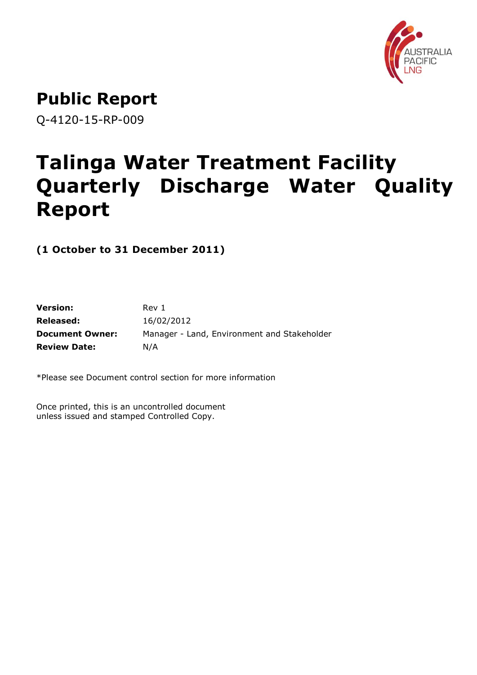

**Public Report**

Q-4120-15-RP-009

# **Talinga Water Treatment Facility Quarterly Discharge Water Quality Report**

**(1 October to 31 December 2011)**

| <b>Version:</b>        | Rev 1                                       |
|------------------------|---------------------------------------------|
| Released:              | 16/02/2012                                  |
| <b>Document Owner:</b> | Manager - Land, Environment and Stakeholder |
| <b>Review Date:</b>    | N/A                                         |

\*Please see Document control section for more information

Once printed, this is an uncontrolled document unless issued and stamped Controlled Copy.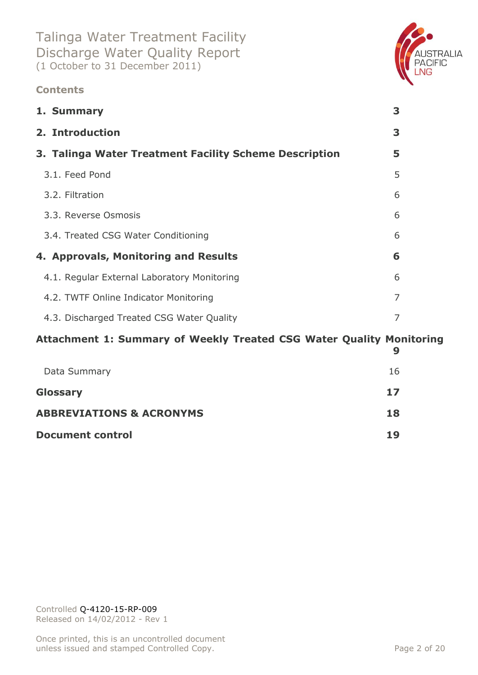### **Contents**



### **[Attachment 1: Summary of Weekly Treated CSG Water Quality Monitoring](#page-8-0)**

|                                     | 9  |
|-------------------------------------|----|
| Data Summary                        | 16 |
| <b>Glossary</b>                     | 17 |
| <b>ABBREVIATIONS &amp; ACRONYMS</b> | 18 |
| <b>Document control</b>             | 19 |
|                                     |    |

Controlled Q-4120-15-RP-009 Released on 14/02/2012 - Rev 1

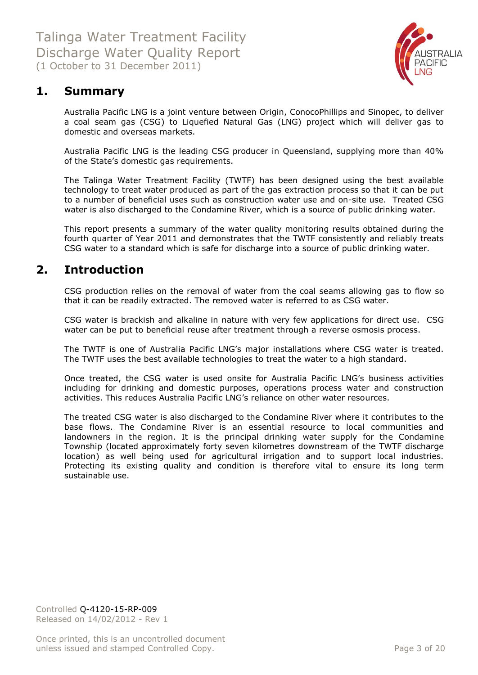

### <span id="page-2-0"></span>**1. Summary**

Australia Pacific LNG is a joint venture between Origin, ConocoPhillips and Sinopec, to deliver a coal seam gas (CSG) to Liquefied Natural Gas (LNG) project which will deliver gas to domestic and overseas markets.

Australia Pacific LNG is the leading CSG producer in Queensland, supplying more than 40% of the State's domestic gas requirements.

The Talinga Water Treatment Facility (TWTF) has been designed using the best available technology to treat water produced as part of the gas extraction process so that it can be put to a number of beneficial uses such as construction water use and on-site use. Treated CSG water is also discharged to the Condamine River, which is a source of public drinking water.

This report presents a summary of the water quality monitoring results obtained during the fourth quarter of Year 2011 and demonstrates that the TWTF consistently and reliably treats CSG water to a standard which is safe for discharge into a source of public drinking water.

### <span id="page-2-1"></span>**2. Introduction**

CSG production relies on the removal of water from the coal seams allowing gas to flow so that it can be readily extracted. The removed water is referred to as CSG water.

CSG water is brackish and alkaline in nature with very few applications for direct use. CSG water can be put to beneficial reuse after treatment through a reverse osmosis process.

The TWTF is one of Australia Pacific LNG's major installations where CSG water is treated. The TWTF uses the best available technologies to treat the water to a high standard.

Once treated, the CSG water is used onsite for Australia Pacific LNG's business activities including for drinking and domestic purposes, operations process water and construction activities. This reduces Australia Pacific LNG's reliance on other water resources.

The treated CSG water is also discharged to the Condamine River where it contributes to the base flows. The Condamine River is an essential resource to local communities and landowners in the region. It is the principal drinking water supply for the Condamine Township (located approximately forty seven kilometres downstream of the TWTF discharge location) as well being used for agricultural irrigation and to support local industries. Protecting its existing quality and condition is therefore vital to ensure its long term sustainable use.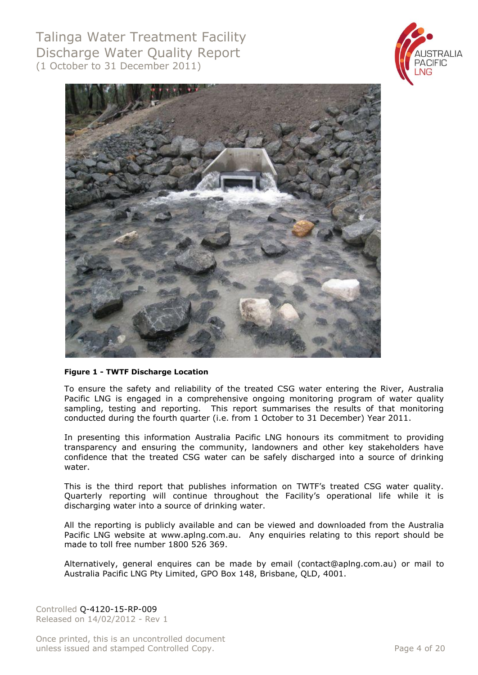



#### **Figure 1 - TWTF Discharge Location**

To ensure the safety and reliability of the treated CSG water entering the River, Australia Pacific LNG is engaged in a comprehensive ongoing monitoring program of water quality sampling, testing and reporting. This report summarises the results of that monitoring conducted during the fourth quarter (i.e. from 1 October to 31 December) Year 2011.

In presenting this information Australia Pacific LNG honours its commitment to providing transparency and ensuring the community, landowners and other key stakeholders have confidence that the treated CSG water can be safely discharged into a source of drinking water.

This is the third report that publishes information on TWTF's treated CSG water quality. Quarterly reporting will continue throughout the Facility's operational life while it is discharging water into a source of drinking water.

All the reporting is publicly available and can be viewed and downloaded from the Australia Pacific LNG website at [www.aplng.com.au.](http://www.aplng.com.au/) Any enquiries relating to this report should be made to toll free number 1800 526 369.

Alternatively, general enquires can be made by email [\(contact@aplng.com.au\)](mailto:contact@aplng.com.au) or mail to Australia Pacific LNG Pty Limited, GPO Box 148, Brisbane, QLD, 4001.

Controlled Q-4120-15-RP-009 Released on 14/02/2012 - Rev 1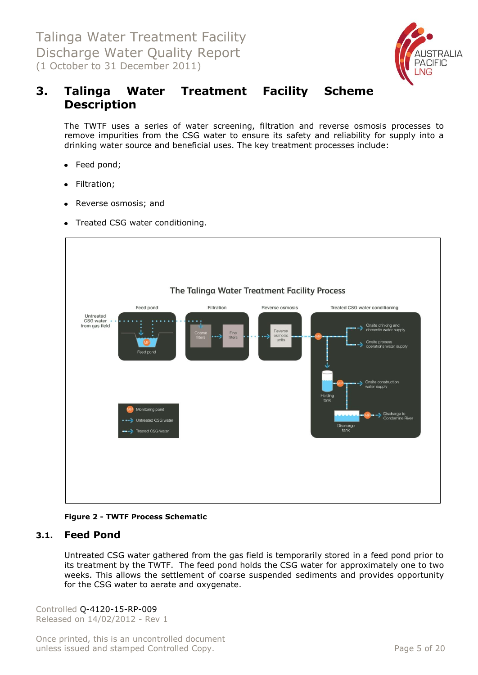

### <span id="page-4-0"></span>**3. Talinga Water Treatment Facility Scheme Description**

The TWTF uses a series of water screening, filtration and reverse osmosis processes to remove impurities from the CSG water to ensure its safety and reliability for supply into a drinking water source and beneficial uses. The key treatment processes include:

- Feed pond;
- Filtration;
- Reverse osmosis; and
- Treated CSG water conditioning.



**Figure 2 - TWTF Process Schematic**

### <span id="page-4-1"></span>**3.1. Feed Pond**

Untreated CSG water gathered from the gas field is temporarily stored in a feed pond prior to its treatment by the TWTF. The feed pond holds the CSG water for approximately one to two weeks. This allows the settlement of coarse suspended sediments and provides opportunity for the CSG water to aerate and oxygenate.

Controlled Q-4120-15-RP-009 Released on 14/02/2012 - Rev 1

Once printed, this is an uncontrolled document unless issued and stamped Controlled Copy. The extendion of the Page 5 of 20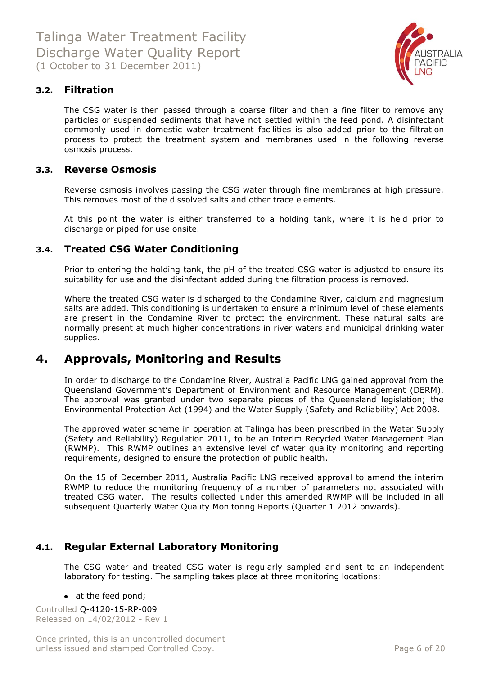

### <span id="page-5-0"></span>**3.2. Filtration**

The CSG water is then passed through a coarse filter and then a fine filter to remove any particles or suspended sediments that have not settled within the feed pond. A disinfectant commonly used in domestic water treatment facilities is also added prior to the filtration process to protect the treatment system and membranes used in the following reverse osmosis process.

#### <span id="page-5-1"></span>**3.3. Reverse Osmosis**

Reverse osmosis involves passing the CSG water through fine membranes at high pressure. This removes most of the dissolved salts and other trace elements.

At this point the water is either transferred to a holding tank, where it is held prior to discharge or piped for use onsite.

### <span id="page-5-2"></span>**3.4. Treated CSG Water Conditioning**

Prior to entering the holding tank, the pH of the treated CSG water is adjusted to ensure its suitability for use and the disinfectant added during the filtration process is removed.

Where the treated CSG water is discharged to the Condamine River, calcium and magnesium salts are added. This conditioning is undertaken to ensure a minimum level of these elements are present in the Condamine River to protect the environment. These natural salts are normally present at much higher concentrations in river waters and municipal drinking water supplies.

### <span id="page-5-3"></span>**4. Approvals, Monitoring and Results**

In order to discharge to the Condamine River, Australia Pacific LNG gained approval from the Queensland Government's Department of Environment and Resource Management (DERM). The approval was granted under two separate pieces of the Queensland legislation; the Environmental Protection Act (1994) and the Water Supply (Safety and Reliability) Act 2008.

The approved water scheme in operation at Talinga has been prescribed in the Water Supply (Safety and Reliability) Regulation 2011, to be an Interim Recycled Water Management Plan (RWMP). This RWMP outlines an extensive level of water quality monitoring and reporting requirements, designed to ensure the protection of public health.

On the 15 of December 2011, Australia Pacific LNG received approval to amend the interim RWMP to reduce the monitoring frequency of a number of parameters not associated with treated CSG water. The results collected under this amended RWMP will be included in all subsequent Quarterly Water Quality Monitoring Reports (Quarter 1 2012 onwards).

### <span id="page-5-4"></span>**4.1. Regular External Laboratory Monitoring**

The CSG water and treated CSG water is regularly sampled and sent to an independent laboratory for testing. The sampling takes place at three monitoring locations:

#### • at the feed pond;

Controlled Q-4120-15-RP-009 Released on 14/02/2012 - Rev 1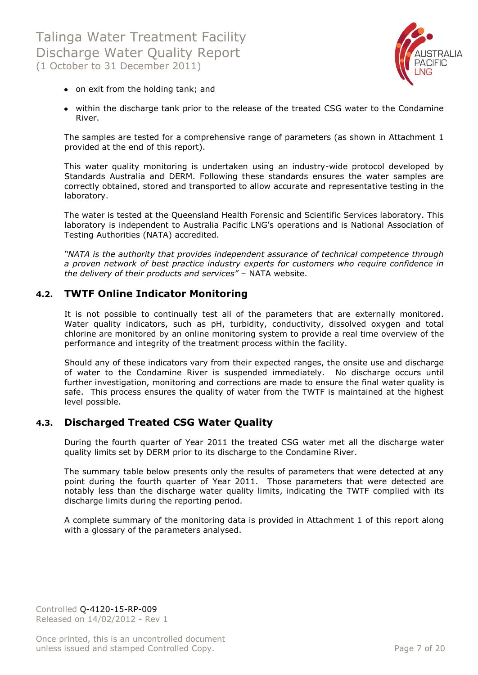

- on exit from the holding tank; and
- within the discharge tank prior to the release of the treated CSG water to the Condamine River.

The samples are tested for a comprehensive range of parameters (as shown in Attachment 1 provided at the end of this report).

This water quality monitoring is undertaken using an industry-wide protocol developed by Standards Australia and DERM. Following these standards ensures the water samples are correctly obtained, stored and transported to allow accurate and representative testing in the laboratory.

The water is tested at the Queensland Health Forensic and Scientific Services laboratory. This laboratory is independent to Australia Pacific LNG's operations and is National Association of Testing Authorities (NATA) accredited.

*"NATA is the authority that provides independent assurance of technical competence through a proven network of best practice industry experts for customers who require confidence in the delivery of their products and services"* – NATA website.

### <span id="page-6-0"></span>**4.2. TWTF Online Indicator Monitoring**

It is not possible to continually test all of the parameters that are externally monitored. Water quality indicators, such as pH, turbidity, conductivity, dissolved oxygen and total chlorine are monitored by an online monitoring system to provide a real time overview of the performance and integrity of the treatment process within the facility.

Should any of these indicators vary from their expected ranges, the onsite use and discharge of water to the Condamine River is suspended immediately. No discharge occurs until further investigation, monitoring and corrections are made to ensure the final water quality is safe. This process ensures the quality of water from the TWTF is maintained at the highest level possible.

### <span id="page-6-1"></span>**4.3. Discharged Treated CSG Water Quality**

During the fourth quarter of Year 2011 the treated CSG water met all the discharge water quality limits set by DERM prior to its discharge to the Condamine River.

The summary table below presents only the results of parameters that were detected at any point during the fourth quarter of Year 2011. Those parameters that were detected are notably less than the discharge water quality limits, indicating the TWTF complied with its discharge limits during the reporting period.

A complete summary of the monitoring data is provided in Attachment 1 of this report along with a glossary of the parameters analysed.

Controlled Q-4120-15-RP-009 Released on 14/02/2012 - Rev 1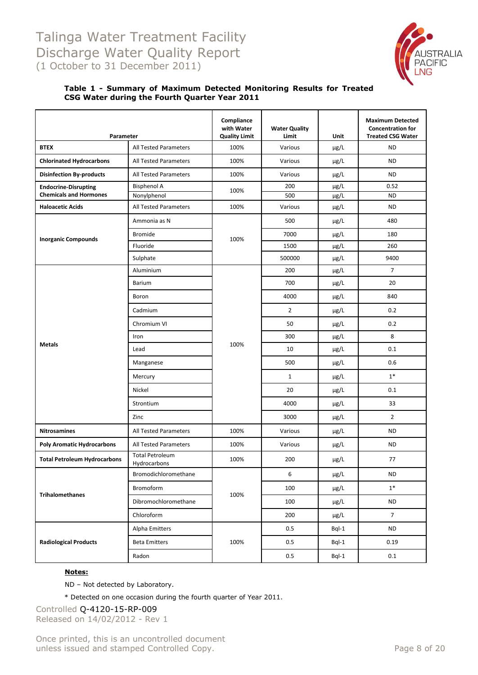

#### **Table 1 - Summary of Maximum Detected Monitoring Results for Treated CSG Water during the Fourth Quarter Year 2011**

| Parameter                           |                                        | Compliance<br>with Water<br><b>Quality Limit</b> | <b>Water Quality</b><br>Limit | Unit      | <b>Maximum Detected</b><br><b>Concentration for</b><br><b>Treated CSG Water</b> |
|-------------------------------------|----------------------------------------|--------------------------------------------------|-------------------------------|-----------|---------------------------------------------------------------------------------|
| <b>BTEX</b>                         | All Tested Parameters                  | 100%                                             | Various                       | µg/L      | <b>ND</b>                                                                       |
| <b>Chlorinated Hydrocarbons</b>     | All Tested Parameters                  | 100%                                             | Various                       | $\mu$ g/L | <b>ND</b>                                                                       |
| <b>Disinfection By-products</b>     | <b>All Tested Parameters</b>           | 100%                                             | Various                       | µg/L      | <b>ND</b>                                                                       |
| <b>Endocrine-Disrupting</b>         | <b>Bisphenol A</b>                     | 100%                                             | 200                           | µg/L      | 0.52                                                                            |
| <b>Chemicals and Hormones</b>       | Nonylphenol                            |                                                  | 500                           | $\mu$ g/L | <b>ND</b>                                                                       |
| <b>Haloacetic Acids</b>             | All Tested Parameters                  | 100%                                             | Various                       | $\mu$ g/L | <b>ND</b>                                                                       |
|                                     | Ammonia as N                           |                                                  | 500                           | µg/L      | 480                                                                             |
| <b>Inorganic Compounds</b>          | <b>Bromide</b>                         | 100%                                             | 7000                          | $\mu$ g/L | 180                                                                             |
|                                     | Fluoride                               |                                                  | 1500                          | µg/L      | 260                                                                             |
|                                     | Sulphate                               |                                                  | 500000                        | µg/L      | 9400                                                                            |
|                                     | Aluminium                              |                                                  | 200                           | µg/L      | $\overline{7}$                                                                  |
|                                     | Barium                                 |                                                  | 700                           | µg/L      | 20                                                                              |
|                                     | Boron                                  |                                                  | 4000                          | µg/L      | 840                                                                             |
|                                     | Cadmium                                |                                                  | $\overline{2}$                | $\mu$ g/L | 0.2                                                                             |
|                                     | Chromium VI                            |                                                  | 50                            | µg/L      | 0.2                                                                             |
|                                     | Iron                                   |                                                  | 300                           | µg/L      | 8                                                                               |
| <b>Metals</b>                       | Lead                                   | 100%                                             | 10                            | $\mu$ g/L | 0.1                                                                             |
|                                     | Manganese                              |                                                  | 500                           | µg/L      | 0.6                                                                             |
|                                     | Mercury                                |                                                  | $\mathbf{1}$                  | $\mu$ g/L | $1*$                                                                            |
|                                     | Nickel                                 |                                                  | 20                            | $\mu$ g/L | 0.1                                                                             |
|                                     | Strontium                              |                                                  | 4000                          | µg/L      | 33                                                                              |
|                                     | Zinc                                   |                                                  | 3000                          | µg/L      | $\overline{2}$                                                                  |
| <b>Nitrosamines</b>                 | <b>All Tested Parameters</b>           | 100%                                             | Various                       | µg/L      | <b>ND</b>                                                                       |
| <b>Poly Aromatic Hydrocarbons</b>   | <b>All Tested Parameters</b>           | 100%                                             | Various                       | µg/L      | <b>ND</b>                                                                       |
| <b>Total Petroleum Hydrocarbons</b> | <b>Total Petroleum</b><br>Hydrocarbons | 100%                                             | 200                           | $\mu$ g/L | 77                                                                              |
|                                     | Bromodichloromethane                   |                                                  | 6                             | µg/L      | <b>ND</b>                                                                       |
| <b>Trihalomethanes</b>              | Bromoform                              | 100%                                             | 100                           | µg/L      | $1*$                                                                            |
|                                     | Dibromochloromethane                   |                                                  | 100                           | µg/L      | <b>ND</b>                                                                       |
|                                     | Chloroform                             |                                                  | 200                           | μg/L      | $\overline{7}$                                                                  |
|                                     | Alpha Emitters                         |                                                  | $0.5\,$                       | Bql-1     | <b>ND</b>                                                                       |
| <b>Radiological Products</b>        | <b>Beta Emitters</b>                   | 100%                                             | $0.5\,$                       | $BqI-1$   | 0.19                                                                            |
|                                     | Radon                                  |                                                  | 0.5                           | Bql-1     | 0.1                                                                             |

#### **Notes:**

ND – Not detected by Laboratory.

\* Detected on one occasion during the fourth quarter of Year 2011.

Controlled Q-4120-15-RP-009 Released on 14/02/2012 - Rev 1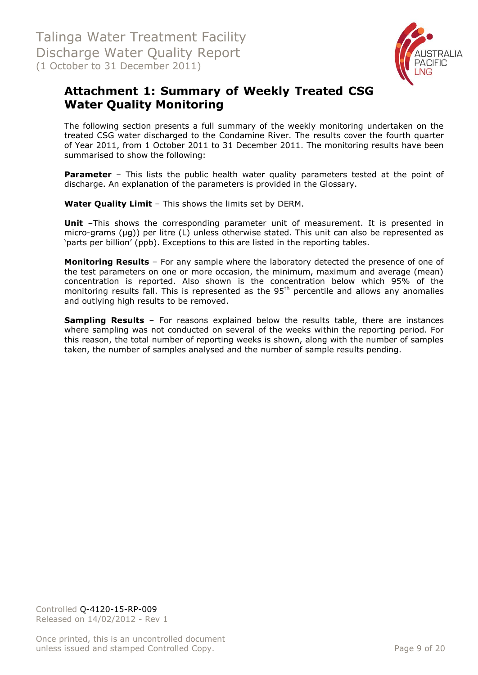

## <span id="page-8-0"></span>**Attachment 1: Summary of Weekly Treated CSG Water Quality Monitoring**

The following section presents a full summary of the weekly monitoring undertaken on the treated CSG water discharged to the Condamine River. The results cover the fourth quarter of Year 2011, from 1 October 2011 to 31 December 2011. The monitoring results have been summarised to show the following:

**Parameter** – This lists the public health water quality parameters tested at the point of discharge. An explanation of the parameters is provided in the Glossary.

**Water Quality Limit** – This shows the limits set by DERM.

**Unit** -This shows the corresponding parameter unit of measurement. It is presented in micro-grams (µg)) per litre (L) unless otherwise stated. This unit can also be represented as 'parts per billion' (ppb). Exceptions to this are listed in the reporting tables.

**Monitoring Results** – For any sample where the laboratory detected the presence of one of the test parameters on one or more occasion, the minimum, maximum and average (mean) concentration is reported. Also shown is the concentration below which 95% of the monitoring results fall. This is represented as the  $95<sup>th</sup>$  percentile and allows any anomalies and outlying high results to be removed.

**Sampling Results** – For reasons explained below the results table, there are instances where sampling was not conducted on several of the weeks within the reporting period. For this reason, the total number of reporting weeks is shown, along with the number of samples taken, the number of samples analysed and the number of sample results pending.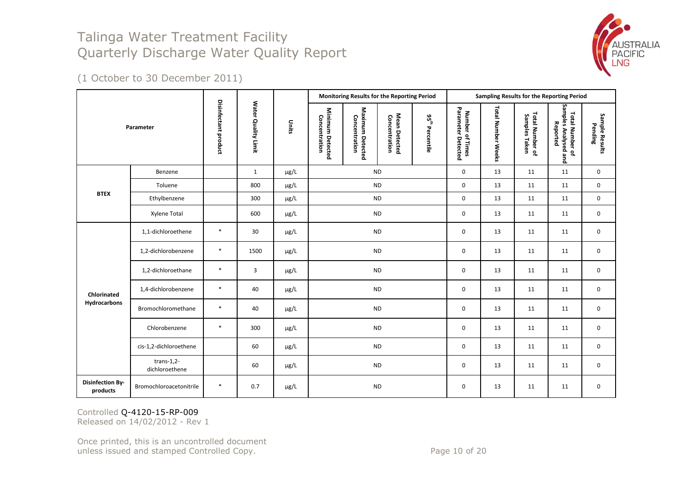

(1 October to 30 December 2011)

|                                     |                                 |                      |                     |           |                                   | Monitoring Results for the Reporting Period |                                |                      |                                          |                    |                                  | Sampling Results for the Reporting Period           |                           |
|-------------------------------------|---------------------------------|----------------------|---------------------|-----------|-----------------------------------|---------------------------------------------|--------------------------------|----------------------|------------------------------------------|--------------------|----------------------------------|-----------------------------------------------------|---------------------------|
|                                     | Parameter                       | Disinfectant product | Water Quality Limit | Units     | Minimum Detected<br>Concentration | Maximum Detected<br>Concentration           | Mean Detected<br>Concentration | ပိုင်္<br>Percentile | Parameter<br>Number of Times<br>Detected | Total Number Weeks | Total Number of<br>Samples Taken | Samples Analysed and<br>Total Number of<br>Reported | Sample Results<br>Pending |
|                                     | Benzene                         |                      | $\mathbf{1}$        | µg/L      | <b>ND</b>                         |                                             |                                |                      | 0                                        | 13                 | 11                               | 11                                                  | 0                         |
| <b>BTEX</b>                         | Toluene                         |                      | 800                 | µg/L      | <b>ND</b>                         |                                             |                                |                      | 0                                        | 13                 | 11                               | 11                                                  | 0                         |
|                                     | Ethylbenzene                    |                      | 300                 | $\mu$ g/L | <b>ND</b>                         |                                             |                                | 0                    | 13                                       | 11                 | 11                               | 0                                                   |                           |
|                                     | Xylene Total                    |                      | 600                 | μg/L      | <b>ND</b>                         |                                             |                                | 0                    | 13                                       | 11                 | 11                               | 0                                                   |                           |
|                                     | 1,1-dichloroethene              | $\ast$               | 30                  | µg/L      | <b>ND</b>                         |                                             |                                |                      | 0                                        | 13                 | 11                               | 11                                                  | 0                         |
|                                     | 1,2-dichlorobenzene             | $\ast$               | 1500                | μg/L      |                                   | <b>ND</b>                                   |                                |                      | 0                                        | 13                 | 11                               | 11                                                  | 0                         |
|                                     | 1,2-dichloroethane              | $\ast$               | 3                   | μg/L      |                                   | <b>ND</b>                                   |                                |                      | 0                                        | 13                 | 11                               | 11                                                  | $\mathbf 0$               |
| Chlorinated                         | 1,4-dichlorobenzene             | $\ast$               | 40                  | µg/L      |                                   | <b>ND</b>                                   |                                |                      | 0                                        | 13                 | 11                               | 11                                                  | 0                         |
| Hydrocarbons                        | Bromochloromethane              | $\ast$               | 40                  | µg/L      |                                   | <b>ND</b>                                   |                                |                      | 0                                        | 13                 | 11                               | 11                                                  | 0                         |
|                                     | Chlorobenzene                   | $\ast$               | 300                 | µg/L      |                                   | <b>ND</b>                                   |                                | 0                    | 13                                       | 11                 | 11                               | $\mathbf 0$                                         |                           |
|                                     | cis-1,2-dichloroethene          |                      | 60                  | µg/L      |                                   | <b>ND</b>                                   |                                | 0                    | 13                                       | 11                 | 11                               | 0                                                   |                           |
|                                     | trans- $1,2-$<br>dichloroethene |                      | 60                  | μg/L      | $\sf ND$                          |                                             | 0                              | 13                   | 11                                       | 11                 | 0                                |                                                     |                           |
| <b>Disinfection By-</b><br>products | Bromochloroacetonitrile         | $\ast$               | 0.7                 | µg/L      |                                   | <b>ND</b>                                   |                                |                      | 0                                        | 13                 | 11                               | 11                                                  | 0                         |

Controlled Q-4120-15-RP-009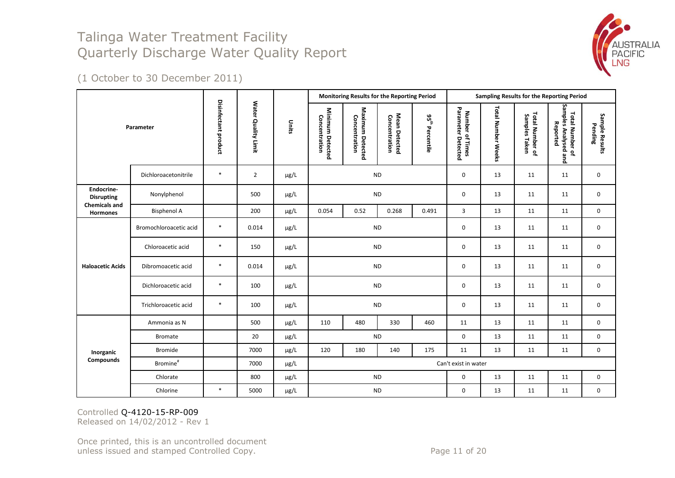

(1 October to 30 December 2011)

|                                         |                        |                      |                     |           |                                   |                                   | Monitoring Results for the Reporting Period |                  |                                       |                    |                                  | Sampling Results for the Reporting Period           |                           |
|-----------------------------------------|------------------------|----------------------|---------------------|-----------|-----------------------------------|-----------------------------------|---------------------------------------------|------------------|---------------------------------------|--------------------|----------------------------------|-----------------------------------------------------|---------------------------|
|                                         | Parameter              | Disinfectant product | Water Quality Limit | Units     | Minimum Detected<br>Concentration | Maximum Detected<br>Concentration | Mean Detected<br>Concentration              | ងូ<br>Percentile | Number of Times<br>Parameter Detected | Total Number Weeks | Total Number of<br>Samples Taken | Samples Analysed and<br>Total Number of<br>Reported | Sample Results<br>Pending |
|                                         | Dichloroacetonitrile   | $\ast$               | $\overline{2}$      | $\mu$ g/L | <b>ND</b>                         |                                   |                                             |                  | $\pmb{0}$                             | 13                 | 11                               | 11                                                  | $\mathbf 0$               |
| Endocrine-<br><b>Disrupting</b>         | Nonylphenol            |                      | 500                 | µg/L      | <b>ND</b>                         |                                   |                                             |                  | 0                                     | 13                 | 11                               | 11                                                  | 0                         |
| <b>Chemicals and</b><br><b>Hormones</b> | <b>Bisphenol A</b>     |                      | 200                 | µg/L      | 0.054                             | 0.52                              | 0.268                                       | 0.491            | 3                                     | 13                 | 11                               | 11                                                  | $\mathbf 0$               |
|                                         | Bromochloroacetic acid | $\ast$               | 0.014               | µg/L      |                                   |                                   | <b>ND</b>                                   |                  | 0                                     | 13                 | 11                               | 11                                                  | $\mathbf 0$               |
|                                         | Chloroacetic acid      | $\ast$               | 150                 | µg/L      |                                   |                                   | <b>ND</b>                                   |                  | 0                                     | 13                 | 11                               | 11                                                  | $\mathbf 0$               |
| <b>Haloacetic Acids</b>                 | Dibromoacetic acid     | $\ast$               | 0.014               | µg/L      |                                   |                                   | <b>ND</b>                                   |                  | 0                                     | 13                 | 11                               | 11                                                  | $\mathbf 0$               |
|                                         | Dichloroacetic acid    | $\ast$               | 100                 | µg/L      |                                   |                                   | <b>ND</b>                                   |                  | $\pmb{0}$                             | 13                 | 11                               | 11                                                  | $\mathbf 0$               |
|                                         | Trichloroacetic acid   | $\ast$               | 100                 | µg/L      |                                   |                                   | <b>ND</b>                                   |                  | $\pmb{0}$                             | 13                 | 11                               | 11                                                  | $\mathbf 0$               |
|                                         | Ammonia as N           |                      | 500                 | µg/L      | 110                               | 480                               | 330                                         | 460              | 11                                    | 13                 | 11                               | 11                                                  | 0                         |
|                                         | <b>Bromate</b>         |                      | 20                  | µg/L      |                                   |                                   | <b>ND</b>                                   |                  | 0                                     | 13                 | 11                               | 11                                                  | $\mathbf 0$               |
| Inorganic                               | Bromide                |                      | 7000                | µg/L      | 120                               | 180                               | 140                                         | 175              | 11                                    | 13                 | 11                               | 11                                                  | $\mathbf 0$               |
| <b>Compounds</b>                        | Bromine <sup>#</sup>   |                      | 7000                | µg/L      |                                   |                                   |                                             |                  | Can't exist in water                  |                    |                                  |                                                     |                           |
|                                         | Chlorate               |                      | 800                 | $\mu$ g/L |                                   |                                   | <b>ND</b>                                   |                  | 0                                     | 13                 | 11                               | 11                                                  | $\mathbf 0$               |
|                                         | Chlorine               | $\ast$               | 5000                | µg/L      |                                   |                                   | <b>ND</b>                                   |                  | 0                                     | 13                 | 11                               | 11                                                  | $\mathbf 0$               |

Controlled Q-4120-15-RP-009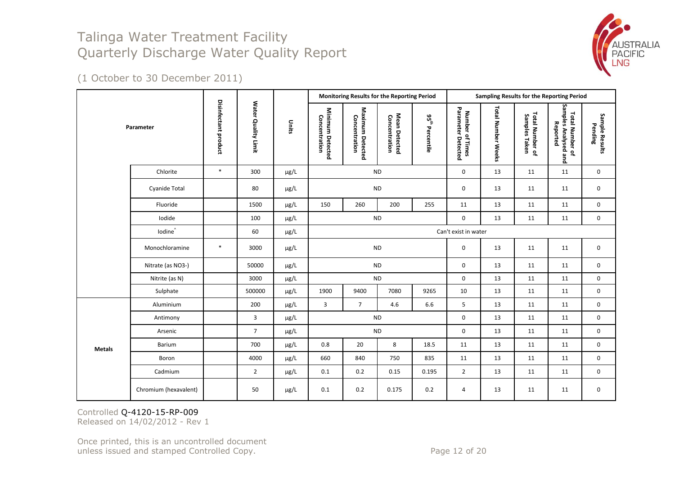

(1 October to 30 December 2011)

|               |                       |                      |                     |           |                                   |                                   | Monitoring Results for the Reporting Period |                                        |                                       |                    |                                  | Sampling Results for the Reporting Period           |                           |
|---------------|-----------------------|----------------------|---------------------|-----------|-----------------------------------|-----------------------------------|---------------------------------------------|----------------------------------------|---------------------------------------|--------------------|----------------------------------|-----------------------------------------------------|---------------------------|
|               | Parameter             | Disinfectant product | Water Quality Limit | Units     | Minimum Detected<br>Concentration | Maximum Detected<br>Concentration | Mean Detected<br>Concentration              | $\mathbf{g}^{\text{th}}$<br>Percentile | Number of Times<br>Parameter Detected | Total Number Weeks | Total Number of<br>Samples Taken | Samples Analysed and<br>Total Number of<br>Reported | Sample Results<br>Pending |
|               | Chlorite              | $\ast$               | 300                 | $\mu$ g/L |                                   |                                   | <b>ND</b>                                   |                                        | 0                                     | 13                 | 11                               | 11                                                  | 0                         |
|               | Cyanide Total         |                      | 80                  | µg/L      | <b>ND</b>                         |                                   |                                             |                                        | 0                                     | 13                 | 11                               | 11                                                  | 0                         |
|               | Fluoride              |                      | 1500                | $\mu$ g/L | 150                               | 260                               | 200                                         | 255                                    | 11                                    | 13                 | 11                               | 11                                                  | 0                         |
|               | Iodide                |                      | 100                 | µg/L      |                                   |                                   | <b>ND</b>                                   |                                        | 0                                     | 13                 | 11                               | 11                                                  | 0                         |
|               | lodine <sup>^</sup>   |                      | 60                  | $\mu$ g/L |                                   |                                   |                                             |                                        | Can't exist in water                  |                    |                                  |                                                     |                           |
|               | Monochloramine        | $\ast$               | 3000                | $\mu$ g/L |                                   |                                   | <b>ND</b>                                   |                                        | 0                                     | 13                 | 11                               | 11                                                  | 0                         |
|               | Nitrate (as NO3-)     |                      | 50000               | µg/L      |                                   |                                   | <b>ND</b>                                   |                                        | 0                                     | 13                 | 11                               | 11                                                  | 0                         |
|               | Nitrite (as N)        |                      | 3000                | $\mu$ g/L |                                   |                                   | <b>ND</b>                                   |                                        | 0                                     | 13                 | 11                               | 11                                                  | 0                         |
|               | Sulphate              |                      | 500000              | $\mu$ g/L | 1900                              | 9400                              | 7080                                        | 9265                                   | 10                                    | 13                 | 11                               | 11                                                  | $\mathbf 0$               |
|               | Aluminium             |                      | 200                 | $\mu$ g/L | 3                                 | $\overline{7}$                    | 4.6                                         | 6.6                                    | 5                                     | 13                 | 11                               | 11                                                  | $\mathbf 0$               |
|               | Antimony              |                      | 3                   | µg/L      |                                   |                                   | <b>ND</b>                                   |                                        | 0                                     | 13                 | 11                               | 11                                                  | 0                         |
|               | Arsenic               |                      | $\overline{7}$      | $\mu$ g/L |                                   |                                   | $\sf ND$                                    |                                        | 0                                     | 13                 | 11                               | 11                                                  | 0                         |
| <b>Metals</b> | Barium                |                      | 700                 | µg/L      | 0.8                               | 20                                | 8                                           | 18.5                                   | 11                                    | 13                 | 11                               | 11                                                  | 0                         |
|               | Boron                 |                      | 4000                | $\mu$ g/L | 660                               | 840                               | 750                                         | 835                                    | 11                                    | 13                 | 11                               | 11                                                  | 0                         |
|               | Cadmium               |                      | $\overline{2}$      | $\mu$ g/L | 0.1                               | 0.2                               | 0.15                                        | 0.195                                  | $\overline{2}$                        | 13                 | 11                               | 11                                                  | 0                         |
|               | Chromium (hexavalent) |                      | 50                  | $\mu$ g/L | 0.1                               | 0.2                               | 0.175                                       | 0.2                                    | 4                                     | 13                 | 11                               | 11                                                  | 0                         |

Controlled Q-4120-15-RP-009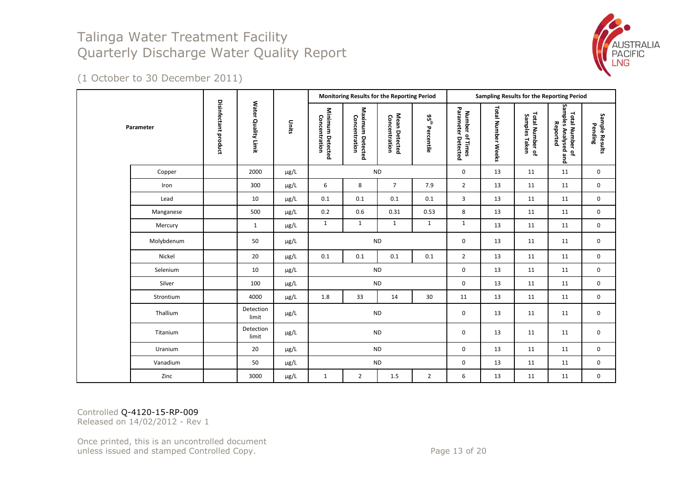

(1 October to 30 December 2011)

|  |            |                      |                     |           | Monitoring Results for the Reporting Period |                                   |                                |                             |                                       |                    | Sampling Results for the Reporting Period |                                                     |                           |
|--|------------|----------------------|---------------------|-----------|---------------------------------------------|-----------------------------------|--------------------------------|-----------------------------|---------------------------------------|--------------------|-------------------------------------------|-----------------------------------------------------|---------------------------|
|  | Parameter  | Disinfectant product | Water Quality Limit | Units     | Minimum Detected<br>Concentration           | Maximum Detected<br>Concentration | Mean Detected<br>Concentration | 95 <sup>th</sup> Percentile | Parameter Detected<br>Number of Times | Total Number Weeks | Total Number of<br>Samples Taken          | Samples Analysed and<br>Total Number of<br>Reported | Sample Results<br>Pending |
|  | Copper     |                      | 2000                | µg/L      | <b>ND</b>                                   |                                   |                                |                             | $\mathbf 0$                           | 13                 | 11                                        | 11                                                  | $\mathbf 0$               |
|  | Iron       |                      | 300                 | $\mu$ g/L | 6                                           | 8                                 | $\overline{7}$                 | 7.9                         | $\overline{2}$                        | 13                 | 11                                        | 11                                                  | $\mathbf 0$               |
|  | Lead       |                      | 10                  | µg/L      | 0.1                                         | 0.1                               | 0.1                            | 0.1                         | 3                                     | 13                 | 11                                        | 11                                                  | $\mathbf 0$               |
|  | Manganese  |                      | 500                 | $\mu$ g/L | 0.2                                         | 0.6                               | 0.31                           | 0.53                        | 8                                     | 13                 | 11                                        | 11                                                  | $\mathbf 0$               |
|  | Mercury    |                      | $\mathbf{1}$        | $\mu$ g/L | $\mathbf{1}$                                | $\mathbf{1}$                      | $\mathbf{1}$                   | 1                           | $\mathbf{1}$                          | 13                 | 11                                        | 11                                                  | $\mathbf 0$               |
|  | Molybdenum |                      | 50                  | $\mu$ g/L |                                             | <b>ND</b>                         |                                |                             | 0                                     | 13                 | 11                                        | 11                                                  | $\mathbf 0$               |
|  | Nickel     |                      | 20                  | $\mu$ g/L | 0.1                                         | 0.1                               | 0.1                            | 0.1                         | $\overline{2}$                        | 13                 | 11                                        | 11                                                  | $\mathbf 0$               |
|  | Selenium   |                      | 10                  | µg/L      |                                             | <b>ND</b>                         |                                |                             | $\mathbf 0$                           | 13                 | 11                                        | 11                                                  | $\mathbf 0$               |
|  | Silver     |                      | 100                 | $\mu$ g/L |                                             | $\sf ND$                          |                                |                             | $\mathbf 0$                           | 13                 | 11                                        | 11                                                  | $\mathbf 0$               |
|  | Strontium  |                      | 4000                | $\mu$ g/L | 1.8                                         | 33                                | 14                             | 30                          | 11                                    | 13                 | 11                                        | 11                                                  | $\mathbf 0$               |
|  | Thallium   |                      | Detection<br>limit  | µg/L      |                                             | <b>ND</b>                         |                                |                             | $\mathsf{O}\xspace$                   | 13                 | 11                                        | 11                                                  | $\mathbf 0$               |
|  | Titanium   |                      | Detection<br>limit  | $\mu$ g/L | <b>ND</b>                                   |                                   |                                | $\mathbf 0$                 | 13                                    | 11                 | 11                                        | $\mathbf 0$                                         |                           |
|  | Uranium    |                      | 20                  | µg/L      | <b>ND</b>                                   |                                   |                                | 0                           | 13                                    | 11                 | 11                                        | $\mathbf 0$                                         |                           |
|  | Vanadium   |                      | 50                  | $\mu$ g/L |                                             | <b>ND</b>                         |                                |                             | $\mathbf 0$                           | 13                 | 11                                        | 11                                                  | $\mathbf 0$               |
|  | Zinc       |                      | 3000                | $\mu$ g/L | $\mathbf{1}$                                | $\overline{2}$                    | $1.5\,$                        | $\overline{2}$              | 6                                     | 13                 | 11                                        | 11                                                  | 0                         |

Controlled Q-4120-15-RP-009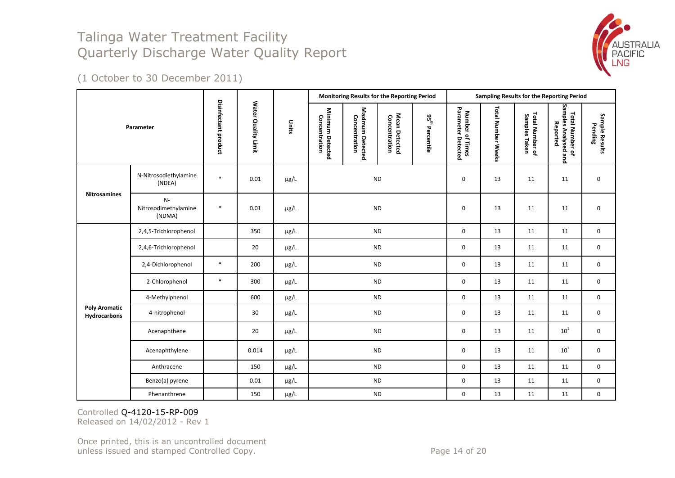

(1 October to 30 December 2011)

|                                      |                                        |                      |                     |           |                                   | Monitoring Results for the Reporting Period |                                |                             |                                       |                    | Sampling Results for the Reporting Period |                                                     |                           |
|--------------------------------------|----------------------------------------|----------------------|---------------------|-----------|-----------------------------------|---------------------------------------------|--------------------------------|-----------------------------|---------------------------------------|--------------------|-------------------------------------------|-----------------------------------------------------|---------------------------|
|                                      | Parameter                              | Disinfectant product | Water Quality Limit | Units     | Minimum Detected<br>Concentration | Maximum Detected<br>Concentration           | Mean Detected<br>Concentration | $95^{\rm th}$<br>Percentile | Number of Times<br>Parameter Detected | Total Number Weeks | Total Number of<br>Samples Taken          | Total Number of<br>Samples Analysed and<br>Reported | Sample Results<br>Pending |
|                                      | N-Nitrosodiethylamine<br>(NDEA)        | $\ast$               | 0.01                | $\mu$ g/L | <b>ND</b>                         |                                             |                                |                             | $\pmb{0}$                             | 13                 | 11                                        | 11                                                  | 0                         |
| <b>Nitrosamines</b>                  | $N-$<br>Nitrosodimethylamine<br>(NDMA) | $\ast$               | 0.01                | µg/L      | <b>ND</b>                         |                                             |                                | $\pmb{0}$                   | 13                                    | 11                 | 11                                        | 0                                                   |                           |
|                                      | 2,4,5-Trichlorophenol                  |                      | 350                 | μg/L      | <b>ND</b>                         |                                             |                                |                             | 0                                     | 13                 | 11                                        | 11                                                  | $\mathbf 0$               |
|                                      | 2,4,6-Trichlorophenol                  |                      | 20                  | μg/L      |                                   | <b>ND</b>                                   |                                |                             | 0                                     | 13                 | 11                                        | 11                                                  | 0                         |
|                                      | 2,4-Dichlorophenol                     | $\ast$               | 200                 | µg/L      |                                   | <b>ND</b>                                   |                                |                             | 0                                     | 13                 | 11                                        | 11                                                  | 0                         |
|                                      | 2-Chlorophenol                         | $\ast$               | 300                 | µg/L      |                                   | <b>ND</b>                                   |                                |                             | 0                                     | 13                 | 11                                        | 11                                                  | 0                         |
|                                      | 4-Methylphenol                         |                      | 600                 | µg/L      |                                   | <b>ND</b>                                   |                                |                             | $\mathbf 0$                           | 13                 | 11                                        | 11                                                  | $\mathbf 0$               |
| <b>Poly Aromatic</b><br>Hydrocarbons | 4-nitrophenol                          |                      | 30                  | µg/L      |                                   | <b>ND</b>                                   |                                |                             | 0                                     | 13                 | 11                                        | 11                                                  | $\mathbf 0$               |
|                                      | Acenaphthene                           |                      | 20                  | µg/L      |                                   | <b>ND</b>                                   |                                |                             | 0                                     | 13                 | 11                                        | $10^1$                                              | 0                         |
|                                      | Acenaphthylene                         |                      | 0.014               | µg/L      |                                   | <b>ND</b>                                   |                                |                             | 0                                     | 13                 | 11                                        | ${\bf 10}^1$                                        | $\mathbf 0$               |
|                                      | Anthracene                             |                      | 150                 | $\mu$ g/L |                                   | <b>ND</b>                                   |                                |                             | $\pmb{0}$                             | 13                 | 11                                        | 11                                                  | $\mathbf 0$               |
|                                      | Benzo(a) pyrene                        |                      | 0.01                | µg/L      |                                   | <b>ND</b>                                   |                                |                             | 0                                     | 13                 | 11                                        | 11                                                  | 0                         |
|                                      | Phenanthrene                           |                      | 150                 | µg/L      |                                   | $\sf ND$                                    |                                |                             | $\pmb{0}$                             | 13                 | 11                                        | 11                                                  | 0                         |

Controlled Q-4120-15-RP-009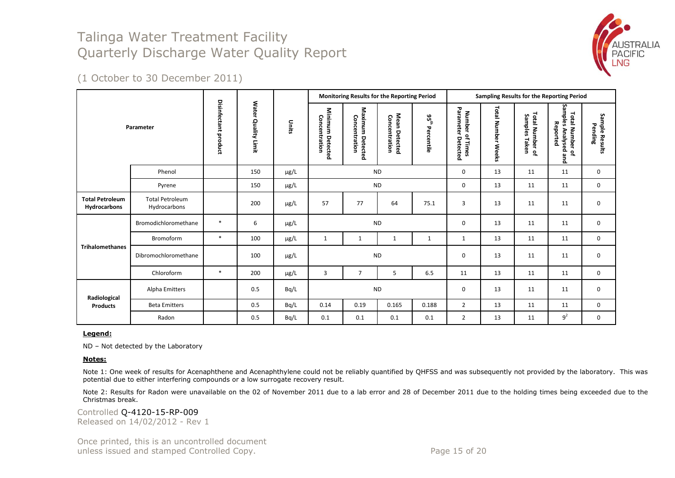

(1 October to 30 December 2011)

|                                        |                                        |                      |                     |           |                                   | Monitoring Results for the Reporting Period |                                |                             |                                                                   |                              | Sampling Results for the Reporting Period |                                                               |                           |
|----------------------------------------|----------------------------------------|----------------------|---------------------|-----------|-----------------------------------|---------------------------------------------|--------------------------------|-----------------------------|-------------------------------------------------------------------|------------------------------|-------------------------------------------|---------------------------------------------------------------|---------------------------|
|                                        | Parameter                              | Disinfectant product | Water Quality Limit | Units     | Minimum Detected<br>Concentration | Maximum<br>Concentration<br>Detected        | Mean Detected<br>Concentration | $95^{\rm th}$<br>Percentile | Parameter<br><b>Number</b><br>$\vec{\sigma}$<br>Detected<br>Times | <b>Total Number</b><br>Weeks | Total Number of<br>Samples<br>Taken       | Samples Analysed and<br><b>Total Number</b><br>Reported<br>٩. | Sample Results<br>Pending |
|                                        | Phenol                                 |                      | 150                 | µg/L      |                                   | <b>ND</b>                                   |                                |                             | 0                                                                 | 13                           | 11                                        | 11                                                            | 0                         |
|                                        | Pyrene                                 |                      | 150                 | $\mu$ g/L |                                   | <b>ND</b>                                   |                                |                             | $\mathbf 0$                                                       | 13                           | 11                                        | 11                                                            | 0                         |
| <b>Total Petroleum</b><br>Hydrocarbons | <b>Total Petroleum</b><br>Hydrocarbons |                      | 200                 | $\mu$ g/L | 57                                | 77                                          | 64                             | 75.1                        | 3                                                                 | 13                           | 11                                        | 11                                                            | 0                         |
|                                        | Bromodichloromethane                   | $\ast$               | 6                   | $\mu$ g/L |                                   | <b>ND</b>                                   |                                |                             | $\mathbf 0$                                                       | 13                           | 11                                        | 11                                                            | $\mathbf 0$               |
|                                        | Bromoform                              | $\ast$               | 100                 | $\mu$ g/L | $\mathbf{1}$                      | 1                                           | 1                              | $\mathbf{1}$                | $\mathbf{1}$                                                      | 13                           | 11                                        | 11                                                            | 0                         |
| <b>Trihalomethanes</b>                 | Dibromochloromethane                   |                      | 100                 | $\mu$ g/L |                                   | <b>ND</b>                                   |                                |                             | $\mathbf 0$                                                       | 13                           | 11                                        | 11                                                            | 0                         |
|                                        | Chloroform                             | $*$                  | 200                 | $\mu$ g/L | 3                                 | $\overline{7}$                              | 5                              | 6.5                         | 11                                                                | 13                           | 11                                        | 11                                                            | $\mathbf 0$               |
| Radiological                           | Alpha Emitters                         |                      | 0.5                 | Bq/L      |                                   | <b>ND</b>                                   |                                |                             | $\mathbf 0$                                                       | 13                           | 11                                        | 11                                                            | 0                         |
| <b>Products</b>                        | <b>Beta Emitters</b>                   |                      | 0.5                 | Bq/L      | 0.14                              | 0.19                                        | 0.165                          | 0.188                       | $\overline{2}$                                                    | 13                           | 11                                        | 11                                                            | $\mathbf 0$               |
|                                        | Radon                                  |                      | 0.5                 | Bq/L      | 0.1                               | 0.1                                         | 0.1                            | 0.1                         | $\overline{2}$                                                    | 13                           | 11                                        | 9 <sup>2</sup>                                                | 0                         |

**Legend:**

ND – Not detected by the Laboratory

#### **Notes:**

Note 1: One week of results for Acenaphthene and Acenaphthylene could not be reliably quantified by QHFSS and was subsequently not provided by the laboratory. This was potential due to either interfering compounds or a low surrogate recovery result.

Note 2: Results for Radon were unavailable on the 02 of November 2011 due to a lab error and 28 of December 2011 due to the holding times being exceeded due to the Christmas break.

Controlled Q-4120-15-RP-009 Released on 14/02/2012 - Rev 1

Once printed, this is an uncontrolled document unless issued and stamped Controlled Copy. The example of 20 and 20 and 20 and 20 and 20 and 20 and 20 and 20 and 20 and 20 and 20 and 20 and 20 and 20 and 20 and 20 and 20 and 20 and 20 and 20 and 20 and 20 and 20 and 20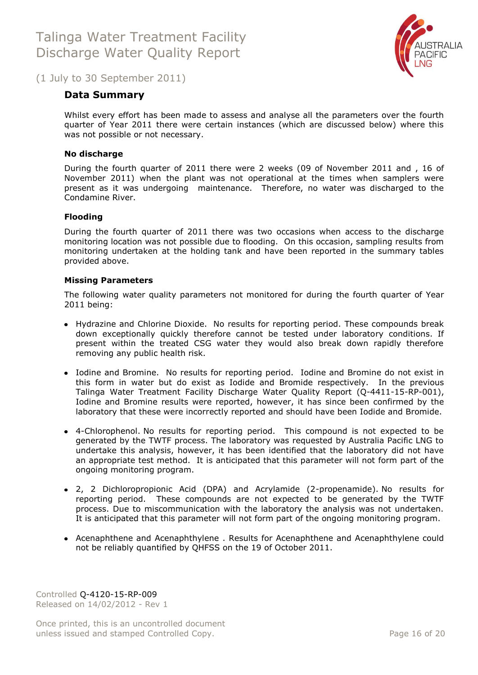

### <span id="page-15-0"></span>(1 July to 30 September 2011)

### **Data Summary**

Whilst every effort has been made to assess and analyse all the parameters over the fourth quarter of Year 2011 there were certain instances (which are discussed below) where this was not possible or not necessary.

#### **No discharge**

During the fourth quarter of 2011 there were 2 weeks (09 of November 2011 and , 16 of November 2011) when the plant was not operational at the times when samplers were present as it was undergoing maintenance. Therefore, no water was discharged to the Condamine River.

#### **Flooding**

During the fourth quarter of 2011 there was two occasions when access to the discharge monitoring location was not possible due to flooding. On this occasion, sampling results from monitoring undertaken at the holding tank and have been reported in the summary tables provided above.

#### **Missing Parameters**

The following water quality parameters not monitored for during the fourth quarter of Year 2011 being:

- Hydrazine and Chlorine Dioxide. No results for reporting period. These compounds break down exceptionally quickly therefore cannot be tested under laboratory conditions. If present within the treated CSG water they would also break down rapidly therefore removing any public health risk.
- Iodine and Bromine. No results for reporting period. Iodine and Bromine do not exist in this form in water but do exist as Iodide and Bromide respectively. In the previous Talinga Water Treatment Facility Discharge Water Quality Report (Q-4411-15-RP-001), Iodine and Bromine results were reported, however, it has since been confirmed by the laboratory that these were incorrectly reported and should have been Iodide and Bromide.
- 4-Chlorophenol. No results for reporting period. This compound is not expected to be generated by the TWTF process. The laboratory was requested by Australia Pacific LNG to undertake this analysis, however, it has been identified that the laboratory did not have an appropriate test method. It is anticipated that this parameter will not form part of the ongoing monitoring program.
- 2, 2 Dichloropropionic Acid (DPA) and Acrylamide (2-propenamide). No results for reporting period. These compounds are not expected to be generated by the TWTF process. Due to miscommunication with the laboratory the analysis was not undertaken. It is anticipated that this parameter will not form part of the ongoing monitoring program.
- Acenaphthene and Acenaphthylene . Results for Acenaphthene and Acenaphthylene could not be reliably quantified by QHFSS on the 19 of October 2011.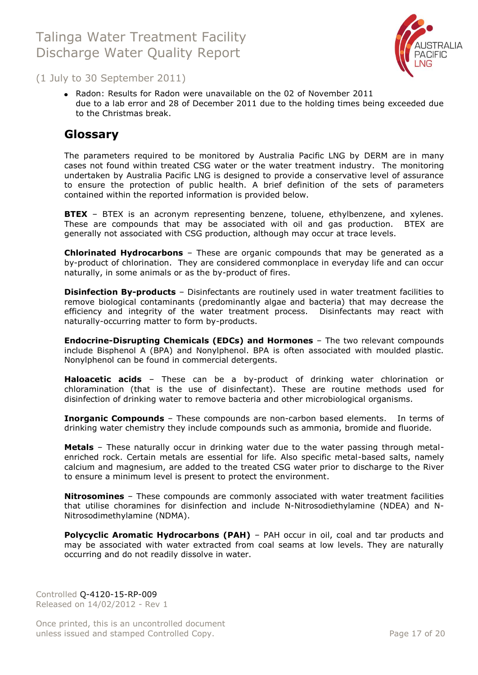

(1 July to 30 September 2011)

• Radon: Results for Radon were unavailable on the 02 of November 2011 due to a lab error and 28 of December 2011 due to the holding times being exceeded due to the Christmas break.

### <span id="page-16-0"></span>**Glossary**

The parameters required to be monitored by Australia Pacific LNG by DERM are in many cases not found within treated CSG water or the water treatment industry. The monitoring undertaken by Australia Pacific LNG is designed to provide a conservative level of assurance to ensure the protection of public health. A brief definition of the sets of parameters contained within the reported information is provided below.

**BTEX** – BTEX is an acronym representing benzene, toluene, ethylbenzene, and xylenes. These are compounds that may be associated with oil and gas production. BTEX are generally not associated with CSG production, although may occur at trace levels.

**Chlorinated Hydrocarbons** – These are organic compounds that may be generated as a by-product of chlorination. They are considered commonplace in everyday life and can occur naturally, in some animals or as the by-product of fires.

**Disinfection By-products** – Disinfectants are routinely used in water treatment facilities to remove biological contaminants (predominantly algae and bacteria) that may decrease the efficiency and integrity of the water treatment process. Disinfectants may react with naturally-occurring matter to form by-products.

**Endocrine-Disrupting Chemicals (EDCs) and Hormones** – The two relevant compounds include Bisphenol A (BPA) and Nonylphenol. BPA is often associated with moulded plastic. Nonylphenol can be found in commercial detergents.

**Haloacetic acids** – These can be a by-product of drinking water chlorination or chloramination (that is the use of disinfectant). These are routine methods used for disinfection of drinking water to remove bacteria and other microbiological organisms.

**Inorganic Compounds** – These compounds are non-carbon based elements. In terms of drinking water chemistry they include compounds such as ammonia, bromide and fluoride.

**Metals** – These naturally occur in drinking water due to the water passing through metalenriched rock. Certain metals are essential for life. Also specific metal-based salts, namely calcium and magnesium, are added to the treated CSG water prior to discharge to the River to ensure a minimum level is present to protect the environment.

**Nitrosomines** – These compounds are commonly associated with water treatment facilities that utilise choramines for disinfection and include N-Nitrosodiethylamine (NDEA) and N-Nitrosodimethylamine (NDMA).

**Polycyclic Aromatic Hydrocarbons (PAH)** - PAH occur in oil, coal and tar products and may be associated with water extracted from coal seams at low levels. They are naturally occurring and do not readily dissolve in water.

Controlled Q-4120-15-RP-009 Released on 14/02/2012 - Rev 1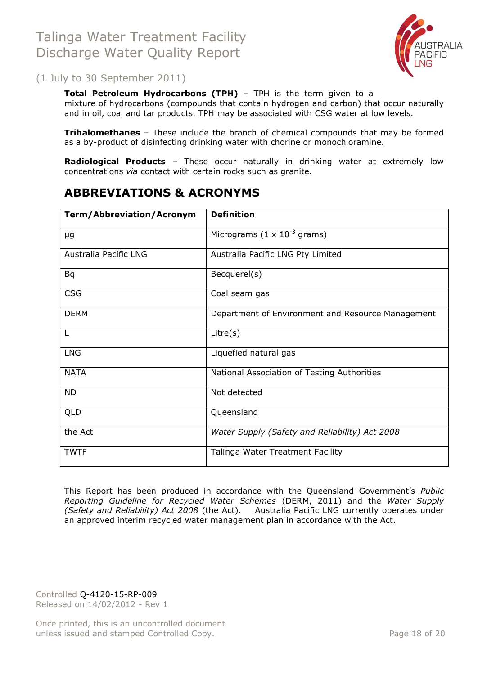

(1 July to 30 September 2011)

**Total Petroleum Hydrocarbons (TPH)** – TPH is the term given to a mixture of hydrocarbons (compounds that contain hydrogen and carbon) that occur naturally and in oil, coal and tar products. TPH may be associated with CSG water at low levels.

**Trihalomethanes** – These include the branch of chemical compounds that may be formed as a by-product of disinfecting drinking water with chorine or monochloramine.

**Radiological Products** – These occur naturally in drinking water at extremely low concentrations *via* contact with certain rocks such as granite.

## <span id="page-17-0"></span>**ABBREVIATIONS & ACRONYMS**

| <b>Term/Abbreviation/Acronym</b> | <b>Definition</b>                                 |
|----------------------------------|---------------------------------------------------|
| μg                               | Micrograms $(1 \times 10^{-3} \text{ grams})$     |
| Australia Pacific LNG            | Australia Pacific LNG Pty Limited                 |
| <b>Bq</b>                        | Becquerel(s)                                      |
| <b>CSG</b>                       | Coal seam gas                                     |
| <b>DERM</b>                      | Department of Environment and Resource Management |
| L                                | Litre(s)                                          |
| <b>LNG</b>                       | Liquefied natural gas                             |
| <b>NATA</b>                      | National Association of Testing Authorities       |
| <b>ND</b>                        | Not detected                                      |
| <b>QLD</b>                       | Queensland                                        |
| the Act                          | Water Supply (Safety and Reliability) Act 2008    |
| <b>TWTF</b>                      | Talinga Water Treatment Facility                  |

This Report has been produced in accordance with the Queensland Government's *Public Reporting Guideline for Recycled Water Schemes* (DERM, 2011) and the *Water Supply (Safety and Reliability) Act 2008* (the Act). Australia Pacific LNG currently operates under an approved interim recycled water management plan in accordance with the Act.

Controlled Q-4120-15-RP-009 Released on 14/02/2012 - Rev 1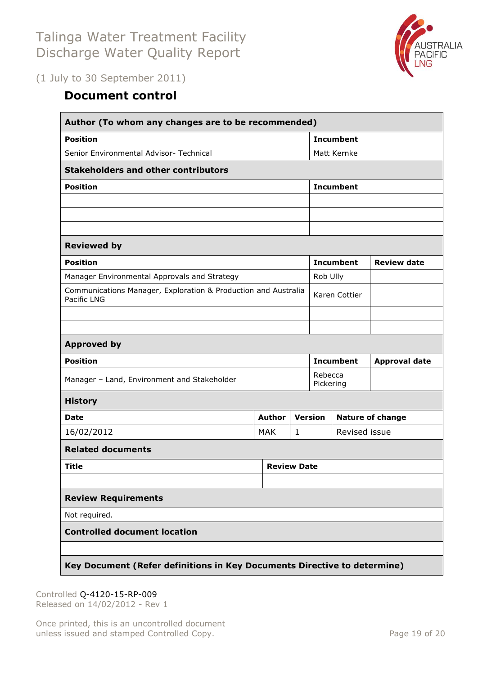

<span id="page-18-0"></span>(1 July to 30 September 2011)

# **Document control**

| Author (To whom any changes are to be recommended)                            |               |                    |                      |                  |                         |  |  |  |  |
|-------------------------------------------------------------------------------|---------------|--------------------|----------------------|------------------|-------------------------|--|--|--|--|
| <b>Position</b>                                                               |               |                    | <b>Incumbent</b>     |                  |                         |  |  |  |  |
| Senior Environmental Advisor- Technical                                       |               |                    | Matt Kernke          |                  |                         |  |  |  |  |
| <b>Stakeholders and other contributors</b>                                    |               |                    |                      |                  |                         |  |  |  |  |
| <b>Position</b>                                                               |               |                    | <b>Incumbent</b>     |                  |                         |  |  |  |  |
|                                                                               |               |                    |                      |                  |                         |  |  |  |  |
|                                                                               |               |                    |                      |                  |                         |  |  |  |  |
|                                                                               |               |                    |                      |                  |                         |  |  |  |  |
| <b>Reviewed by</b>                                                            |               |                    |                      |                  |                         |  |  |  |  |
| <b>Position</b>                                                               |               |                    |                      | <b>Incumbent</b> | <b>Review date</b>      |  |  |  |  |
| Manager Environmental Approvals and Strategy                                  | Rob Ully      |                    |                      |                  |                         |  |  |  |  |
| Communications Manager, Exploration & Production and Australia<br>Pacific LNG |               | Karen Cottier      |                      |                  |                         |  |  |  |  |
|                                                                               |               |                    |                      |                  |                         |  |  |  |  |
|                                                                               |               |                    |                      |                  |                         |  |  |  |  |
| <b>Approved by</b>                                                            |               |                    |                      |                  |                         |  |  |  |  |
| <b>Position</b>                                                               |               |                    |                      | <b>Incumbent</b> | <b>Approval date</b>    |  |  |  |  |
| Manager - Land, Environment and Stakeholder                                   |               |                    | Rebecca<br>Pickering |                  |                         |  |  |  |  |
| <b>History</b>                                                                |               |                    |                      |                  |                         |  |  |  |  |
| <b>Date</b>                                                                   | <b>Author</b> |                    | <b>Version</b>       |                  | <b>Nature of change</b> |  |  |  |  |
| 16/02/2012                                                                    | <b>MAK</b>    | $\mathbf{1}$       |                      | Revised issue    |                         |  |  |  |  |
| <b>Related documents</b>                                                      |               |                    |                      |                  |                         |  |  |  |  |
| <b>Title</b>                                                                  |               | <b>Review Date</b> |                      |                  |                         |  |  |  |  |
|                                                                               |               |                    |                      |                  |                         |  |  |  |  |
| <b>Review Requirements</b>                                                    |               |                    |                      |                  |                         |  |  |  |  |
| Not required.                                                                 |               |                    |                      |                  |                         |  |  |  |  |
| <b>Controlled document location</b>                                           |               |                    |                      |                  |                         |  |  |  |  |
|                                                                               |               |                    |                      |                  |                         |  |  |  |  |
| Key Document (Refer definitions in Key Documents Directive to determine)      |               |                    |                      |                  |                         |  |  |  |  |

Controlled Q-4120-15-RP-009 Released on 14/02/2012 - Rev 1

Once printed, this is an uncontrolled document unless issued and stamped Controlled Copy. The extendion of 20 Page 19 of 20